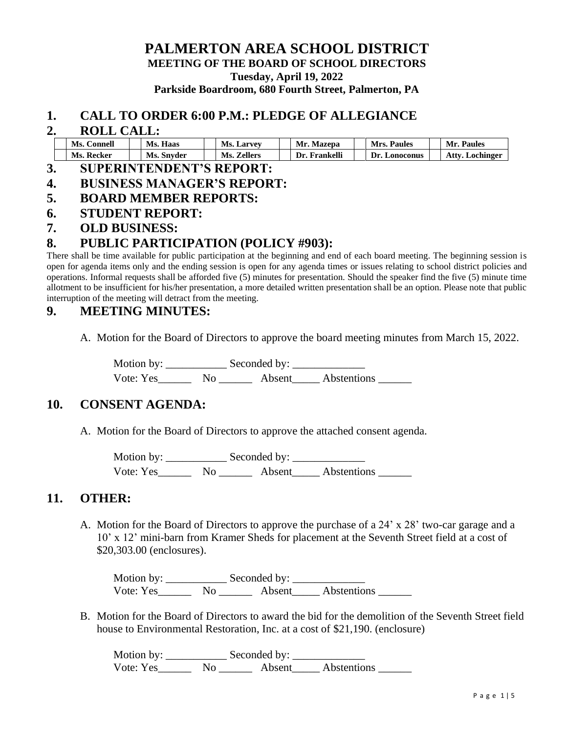### **PALMERTON AREA SCHOOL DISTRICT MEETING OF THE BOARD OF SCHOOL DIRECTORS Tuesday, April 19, 2022 Parkside Boardroom, 680 Fourth Street, Palmerton, PA**

#### **1. CALL TO ORDER 6:00 P.M.: PLEDGE OF ALLEGIANCE**

#### **2. ROLL CALL:**

| Ms.<br>∴onnell | Ms<br>Haas | Ms.<br><b>Larvey</b> | Mr<br>Mazepa         | <b>Paules</b><br>л ге   | Paules<br>Мr                         |
|----------------|------------|----------------------|----------------------|-------------------------|--------------------------------------|
| Ms<br>Kecker   | Ms. Snyder | ∕.eller⁄<br>Mc       | ıkelli<br>Dr<br>Hron | Dr<br><b>A</b> onoconus | . ttx<br>Lochinger<br>$\overline{ }$ |

- **3. SUPERINTENDENT'S REPORT:**
- **4. BUSINESS MANAGER'S REPORT:**
- **5. BOARD MEMBER REPORTS:**
- **6. STUDENT REPORT:**
- **7. OLD BUSINESS:**

### **8. PUBLIC PARTICIPATION (POLICY #903):**

There shall be time available for public participation at the beginning and end of each board meeting. The beginning session is open for agenda items only and the ending session is open for any agenda times or issues relating to school district policies and operations. Informal requests shall be afforded five (5) minutes for presentation. Should the speaker find the five (5) minute time allotment to be insufficient for his/her presentation, a more detailed written presentation shall be an option. Please note that public interruption of the meeting will detract from the meeting.

### **9. MEETING MINUTES:**

A. Motion for the Board of Directors to approve the board meeting minutes from March 15, 2022.

Motion by: \_\_\_\_\_\_\_\_\_\_\_ Seconded by: \_\_\_\_\_\_\_\_\_\_\_\_\_ Vote: Yes\_\_\_\_\_\_ No \_\_\_\_\_\_ Absent\_\_\_\_\_ Abstentions \_\_\_\_\_\_

### **10. CONSENT AGENDA:**

A. Motion for the Board of Directors to approve the attached consent agenda.

Motion by: \_\_\_\_\_\_\_\_\_\_\_ Seconded by: \_\_\_\_\_\_\_\_\_\_\_\_\_ Vote: Yes\_\_\_\_\_\_\_ No \_\_\_\_\_\_\_ Absent\_\_\_\_\_ Abstentions \_\_\_\_\_\_\_

### **11. OTHER:**

A. Motion for the Board of Directors to approve the purchase of a 24' x 28' two-car garage and a 10' x 12' mini-barn from Kramer Sheds for placement at the Seventh Street field at a cost of \$20,303.00 (enclosures).

Motion by: \_\_\_\_\_\_\_\_\_\_\_ Seconded by: \_\_\_\_\_\_\_\_\_\_\_\_\_ Vote: Yes\_\_\_\_\_\_\_\_ No \_\_\_\_\_\_\_ Absent\_\_\_\_\_ Abstentions \_\_\_\_\_\_

B. Motion for the Board of Directors to award the bid for the demolition of the Seventh Street field house to Environmental Restoration, Inc. at a cost of \$21,190. (enclosure)

Motion by: \_\_\_\_\_\_\_\_\_\_\_ Seconded by: \_\_\_\_\_\_\_\_\_\_\_\_\_ Vote: Yes\_\_\_\_\_\_\_\_ No \_\_\_\_\_\_\_\_ Absent\_\_\_\_\_ Abstentions \_\_\_\_\_\_\_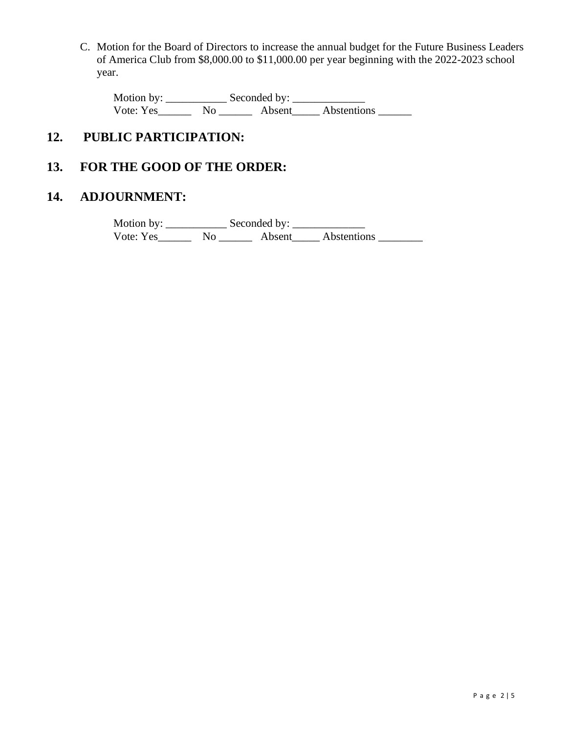C. Motion for the Board of Directors to increase the annual budget for the Future Business Leaders of America Club from \$8,000.00 to \$11,000.00 per year beginning with the 2022-2023 school year.

Motion by: \_\_\_\_\_\_\_\_\_\_\_ Seconded by: \_\_\_\_\_\_\_\_\_\_\_\_\_ Vote: Yes\_\_\_\_\_\_\_\_ No \_\_\_\_\_\_\_ Absent\_\_\_\_\_ Abstentions \_\_\_\_\_\_

# **12. PUBLIC PARTICIPATION:**

# **13. FOR THE GOOD OF THE ORDER:**

## **14. ADJOURNMENT:**

Motion by: \_\_\_\_\_\_\_\_\_\_\_ Seconded by: \_\_\_\_\_\_\_\_\_\_\_\_\_ Vote: Yes\_\_\_\_\_\_\_\_ No \_\_\_\_\_\_\_ Absent\_\_\_\_\_ Abstentions \_\_\_\_\_\_\_\_\_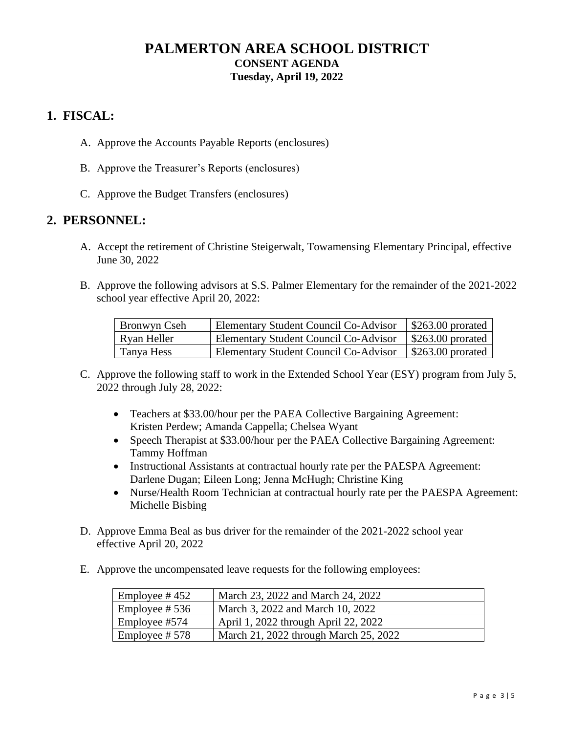## **PALMERTON AREA SCHOOL DISTRICT CONSENT AGENDA Tuesday, April 19, 2022**

### **1. FISCAL:**

- A. Approve the Accounts Payable Reports (enclosures)
- B. Approve the Treasurer's Reports (enclosures)
- C. Approve the Budget Transfers (enclosures)

### **2. PERSONNEL:**

- A. Accept the retirement of Christine Steigerwalt, Towamensing Elementary Principal, effective June 30, 2022
- B. Approve the following advisors at S.S. Palmer Elementary for the remainder of the 2021-2022 school year effective April 20, 2022:

| Bronwyn Cseh | Elementary Student Council Co-Advisor | \$263.00 prorated |
|--------------|---------------------------------------|-------------------|
| Ryan Heller  | Elementary Student Council Co-Advisor | \$263.00 prorated |
| Tanya Hess   | Elementary Student Council Co-Advisor | \$263.00 prorated |

- C. Approve the following staff to work in the Extended School Year (ESY) program from July 5, 2022 through July 28, 2022:
	- Teachers at \$33.00/hour per the PAEA Collective Bargaining Agreement: Kristen Perdew; Amanda Cappella; Chelsea Wyant
	- Speech Therapist at \$33.00/hour per the PAEA Collective Bargaining Agreement: Tammy Hoffman
	- Instructional Assistants at contractual hourly rate per the PAESPA Agreement: Darlene Dugan; Eileen Long; Jenna McHugh; Christine King
	- Nurse/Health Room Technician at contractual hourly rate per the PAESPA Agreement: Michelle Bisbing
- D. Approve Emma Beal as bus driver for the remainder of the 2021-2022 school year effective April 20, 2022
- E. Approve the uncompensated leave requests for the following employees:

| Employee # $452$ | March 23, 2022 and March 24, 2022     |
|------------------|---------------------------------------|
| Employee # $536$ | March 3, 2022 and March 10, 2022      |
| Employee #574    | April 1, 2022 through April 22, 2022  |
| Employee #578    | March 21, 2022 through March 25, 2022 |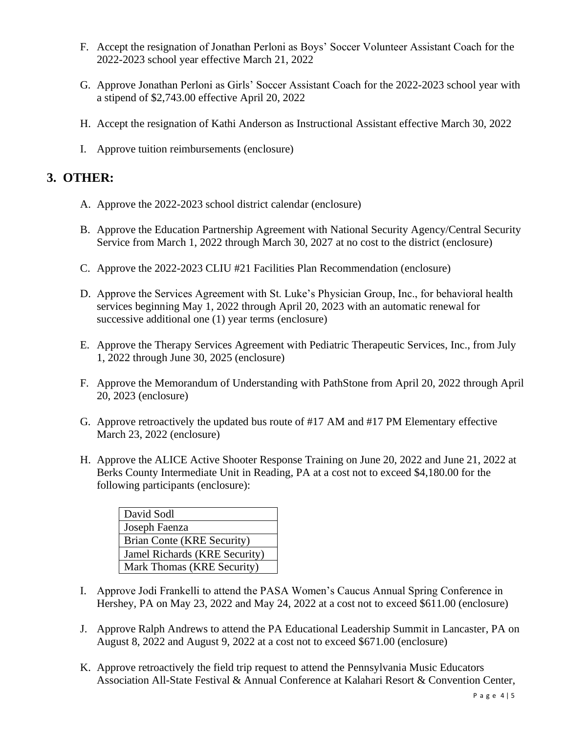- F. Accept the resignation of Jonathan Perloni as Boys' Soccer Volunteer Assistant Coach for the 2022-2023 school year effective March 21, 2022
- G. Approve Jonathan Perloni as Girls' Soccer Assistant Coach for the 2022-2023 school year with a stipend of \$2,743.00 effective April 20, 2022
- H. Accept the resignation of Kathi Anderson as Instructional Assistant effective March 30, 2022
- I. Approve tuition reimbursements (enclosure)

### **3. OTHER:**

- A. Approve the 2022-2023 school district calendar (enclosure)
- B. Approve the Education Partnership Agreement with National Security Agency/Central Security Service from March 1, 2022 through March 30, 2027 at no cost to the district (enclosure)
- C. Approve the 2022-2023 CLIU #21 Facilities Plan Recommendation (enclosure)
- D. Approve the Services Agreement with St. Luke's Physician Group, Inc., for behavioral health services beginning May 1, 2022 through April 20, 2023 with an automatic renewal for successive additional one (1) year terms (enclosure)
- E. Approve the Therapy Services Agreement with Pediatric Therapeutic Services, Inc., from July 1, 2022 through June 30, 2025 (enclosure)
- F. Approve the Memorandum of Understanding with PathStone from April 20, 2022 through April 20, 2023 (enclosure)
- G. Approve retroactively the updated bus route of #17 AM and #17 PM Elementary effective March 23, 2022 (enclosure)
- H. Approve the ALICE Active Shooter Response Training on June 20, 2022 and June 21, 2022 at Berks County Intermediate Unit in Reading, PA at a cost not to exceed \$4,180.00 for the following participants (enclosure):

| David Sodl                    |
|-------------------------------|
| Joseph Faenza                 |
| Brian Conte (KRE Security)    |
| Jamel Richards (KRE Security) |
| Mark Thomas (KRE Security)    |

- I. Approve Jodi Frankelli to attend the PASA Women's Caucus Annual Spring Conference in Hershey, PA on May 23, 2022 and May 24, 2022 at a cost not to exceed \$611.00 (enclosure)
- J. Approve Ralph Andrews to attend the PA Educational Leadership Summit in Lancaster, PA on August 8, 2022 and August 9, 2022 at a cost not to exceed \$671.00 (enclosure)
- K. Approve retroactively the field trip request to attend the Pennsylvania Music Educators Association All-State Festival & Annual Conference at Kalahari Resort & Convention Center,